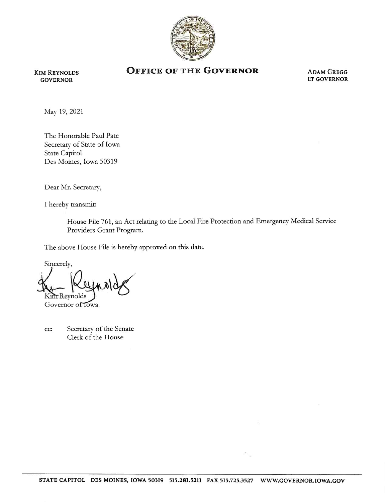

Kim Reynolds GOVERNOR

## OFFICE OF THE GOVERNOR ADAM GREGG

LT GOVERNOR

May 19, 2021

The Honorable Paul Pate Secretary of State of Iowa State Capitol Des Moines, Iowa 50319

Dear Mr. Secretary,

I hereby transmit:

House File 761, an Act relating to the Local Fire Protection and Emergency Medical Service Providers Grant Program.

The above House File is hereby approved on this date.

Sincerely, Kim-Reynolds

Governor of Towa

cc: Secretary of the Senate Clerk of the House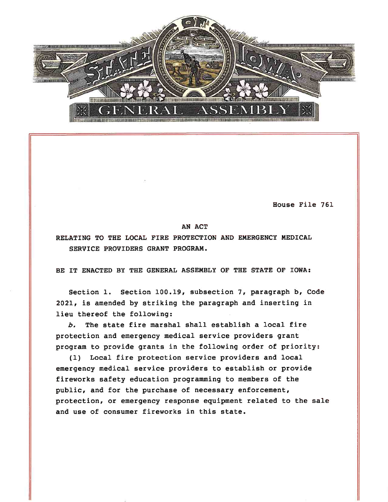

House File 761

## AN ACT

RELATING TO THE LOCAL FIRE PROTECTION AND EMERGENCY MEDICAL SERVICE PROVIDERS GRANT PROGRAM.

BE IT ENACTED BY THE GENERAL ASSEMBLY OF THE STATE OF IOWA:

Section 1. Section 100.19, subsection 7, paragraph b, Code 2021, is amended by striking the paragraph and inserting in lieu thereof the following:

b. The state fire marshal shall establish a local fire protection and emergency medical service providers grant program to provide grants in the following order of priority:

(1) Local fire protection service providers and local emergency medical service providers to establish or provide fireworks safety education programming to members of the public, and for the purchase of necessary enforcement, protection, or emergency response equipment related to the sale and use of consumer fireworks in this state.